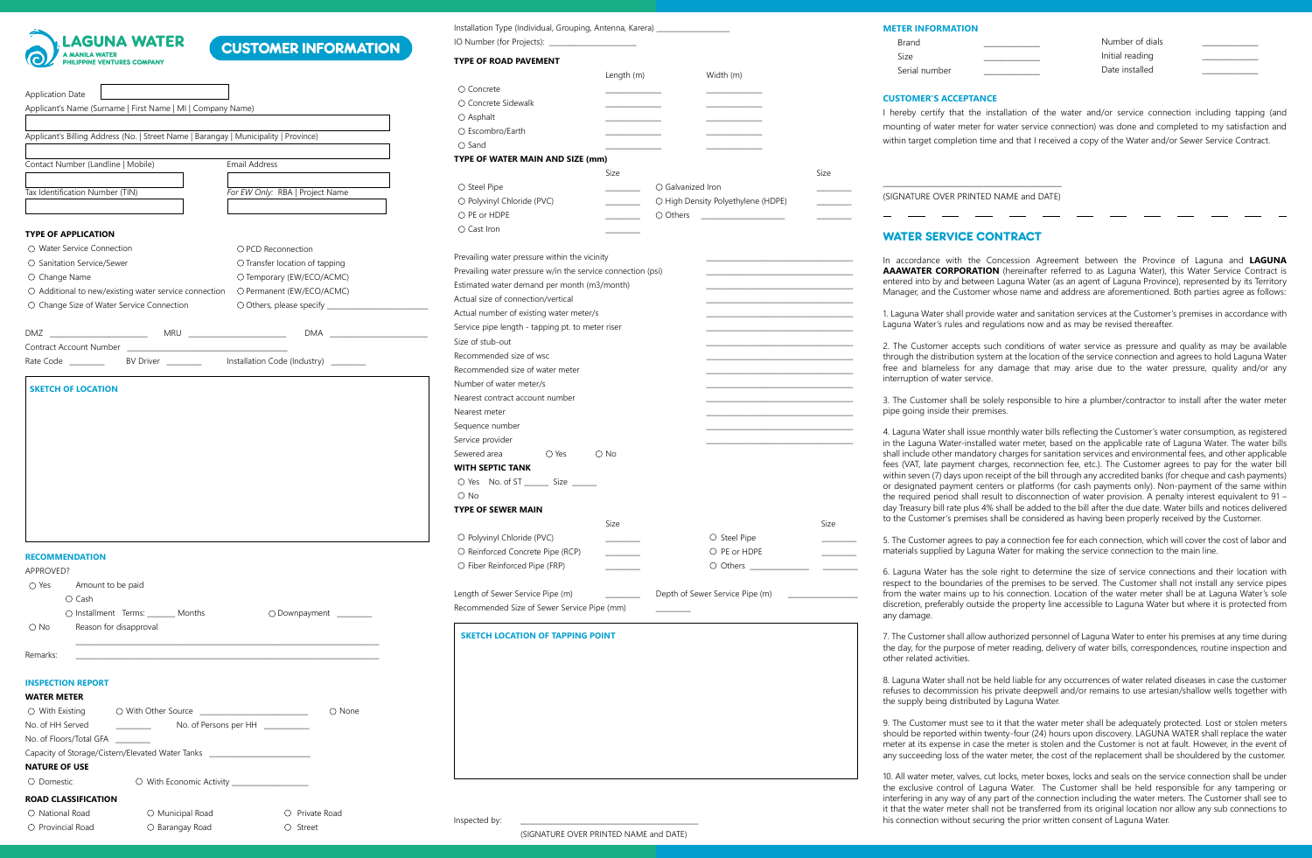

O National Road O Provincial Road

## CUSTOMER INFORMATION

| Applicant's Billing Address (No.   Street Name   Barangay   Municipality   Province)                                                                                                                                                                        |                                                                           |
|-------------------------------------------------------------------------------------------------------------------------------------------------------------------------------------------------------------------------------------------------------------|---------------------------------------------------------------------------|
|                                                                                                                                                                                                                                                             |                                                                           |
| Contact Number (Landline   Mobile)                                                                                                                                                                                                                          | Email Address                                                             |
|                                                                                                                                                                                                                                                             |                                                                           |
| Tax Identification Number (TIN)                                                                                                                                                                                                                             | For EW Only: RBA   Project Name                                           |
| <b>TYPE OF APPLICATION</b>                                                                                                                                                                                                                                  |                                                                           |
| O Water Service Connection                                                                                                                                                                                                                                  | O PCD Reconnection                                                        |
| O Sanitation Service/Sewer                                                                                                                                                                                                                                  | O Transfer location of tapping                                            |
| O Change Name                                                                                                                                                                                                                                               | O Temporary (EW/ECO/ACMC)                                                 |
| ○ Additional to new/existing water service connection                                                                                                                                                                                                       | O Permanent (EW/ECO/ACMC)                                                 |
| O Change Size of Water Service Connection                                                                                                                                                                                                                   |                                                                           |
|                                                                                                                                                                                                                                                             |                                                                           |
|                                                                                                                                                                                                                                                             |                                                                           |
| Contract Account Number                                                                                                                                                                                                                                     |                                                                           |
| Rate Code and the Rate Code                                                                                                                                                                                                                                 | BV Driver ___________________ Installation Code (Industry) ___________    |
|                                                                                                                                                                                                                                                             |                                                                           |
|                                                                                                                                                                                                                                                             |                                                                           |
|                                                                                                                                                                                                                                                             |                                                                           |
|                                                                                                                                                                                                                                                             |                                                                           |
| $\bigcirc$ Yes<br>Amount to be paid                                                                                                                                                                                                                         |                                                                           |
| O Cash                                                                                                                                                                                                                                                      |                                                                           |
| O Installment Terms: _______ Months<br>Reason for disapproval<br>O No                                                                                                                                                                                       | O Downpayment _______                                                     |
|                                                                                                                                                                                                                                                             |                                                                           |
|                                                                                                                                                                                                                                                             |                                                                           |
|                                                                                                                                                                                                                                                             |                                                                           |
|                                                                                                                                                                                                                                                             |                                                                           |
| O With Other Source _________                                                                                                                                                                                                                               | $\mathcal{L}^{\mathcal{L}}$ , where $\mathcal{L}^{\mathcal{L}}$<br>O None |
| No. of Persons per HH                                                                                                                                                                                                                                       |                                                                           |
|                                                                                                                                                                                                                                                             |                                                                           |
| <b>RECOMMENDATION</b><br>APPROVED?<br>Remarks:<br><b>INSPECTION REPORT</b><br><b>WATER METER</b><br>$\bigcirc$ With Existing<br>No. of HH Served<br>No. of Floors/Total GFA _<br>Capacity of Storage/Cistern/Elevated Water Tanks _<br><b>NATURE OF USE</b> |                                                                           |

O Municipal Road O Barangay Road

Private Road

| IO Number (for Projects): ___________________                     |               |                                                            |      |
|-------------------------------------------------------------------|---------------|------------------------------------------------------------|------|
| <b>TYPE OF ROAD PAVEMENT</b>                                      |               |                                                            |      |
|                                                                   | Length (m)    | Width (m)                                                  |      |
| O Concrete                                                        |               |                                                            |      |
| O Concrete Sidewalk                                               |               |                                                            |      |
| O Asphalt                                                         |               |                                                            |      |
| O Escombro/Earth                                                  |               |                                                            |      |
| $\bigcirc$ Sand                                                   |               |                                                            |      |
| TYPE OF WATER MAIN AND SIZE (mm)                                  |               |                                                            |      |
|                                                                   | Size          |                                                            | Size |
| O Steel Pipe                                                      |               | O Galvanized Iron                                          |      |
| O Polyvinyl Chloride (PVC)                                        |               | O High Density Polyethylene (HDPE)                         |      |
| O PE or HDPE                                                      |               | O Others<br><u>and the state of the state of the state</u> |      |
| O Cast Iron                                                       |               |                                                            |      |
|                                                                   |               |                                                            |      |
| Prevailing water pressure within the vicinity                     |               |                                                            |      |
| Prevailing water pressure w/in the service connection (psi)       |               |                                                            |      |
| Estimated water demand per month (m3/month)                       |               |                                                            |      |
| Actual size of connection/vertical                                |               |                                                            |      |
| Actual number of existing water meter/s                           |               |                                                            |      |
| Service pipe length - tapping pt. to meter riser                  |               |                                                            |      |
| Size of stub-out                                                  |               |                                                            |      |
| Recommended size of wsc                                           |               |                                                            |      |
| Recommended size of water meter                                   |               |                                                            |      |
| Number of water meter/s                                           |               |                                                            |      |
| Nearest contract account number                                   |               |                                                            |      |
| Nearest meter                                                     |               |                                                            |      |
| Sequence number                                                   |               |                                                            |      |
| Service provider                                                  |               |                                                            |      |
| Sewered area<br>O Yes                                             | $\bigcirc$ No |                                                            |      |
| WITH SEPTIC TANK                                                  |               |                                                            |      |
| O Yes No. of ST ________ Size _______                             |               |                                                            |      |
| $O$ No                                                            |               |                                                            |      |
| <b>TYPE OF SEWER MAIN</b>                                         |               |                                                            |      |
|                                                                   | Size          |                                                            | Size |
|                                                                   |               |                                                            |      |
| O Polyvinyl Chloride (PVC)                                        |               | O Steel Pipe                                               |      |
|                                                                   |               |                                                            |      |
| O Reinforced Concrete Pipe (RCP)<br>O Fiber Reinforced Pipe (FRP) |               | O PE or HDPE                                               |      |

Length of Sewer Service Pipe (m) \_\_\_\_\_\_\_\_\_\_\_\_\_\_\_\_\_\_\_\_\_\_ Depth of Sewer Service Pipe (m) Recommended Size of Sewer Service Pipe (mm) \_\_\_\_\_\_\_\_\_\_

#### **SKETCH LOCATION OF TAPPING POINT**

Installation Type (Individual, Grouping, Antenna, Karera)

Street Inspected by: \_\_\_\_\_\_\_\_\_\_\_\_\_\_\_\_\_\_\_\_\_\_\_\_\_\_\_\_\_\_\_\_\_\_\_\_\_\_\_\_\_\_\_\_\_\_\_\_\_\_\_ (SIGNATURE OVER PRINTED NAME and DATE)

### **METER INFORMATION**

| Brand         | Number of dials |  |
|---------------|-----------------|--|
| Size          | Initial reading |  |
| Serial number | Date installed  |  |

### **CUSTOMER'S ACCEPTANCE**

I hereby certify that the installation of the water and/or service connection including tapping (and mounting of water meter for water service connection) was done and completed to my satisfaction and within target completion time and that I received a copy of the Water and/or Sewer Service Contract.

 $\frac{1}{2}$  ,  $\frac{1}{2}$  ,  $\frac{1}{2}$  ,  $\frac{1}{2}$  ,  $\frac{1}{2}$  ,  $\frac{1}{2}$  ,  $\frac{1}{2}$  ,  $\frac{1}{2}$  ,  $\frac{1}{2}$  ,  $\frac{1}{2}$  ,  $\frac{1}{2}$  ,  $\frac{1}{2}$  ,  $\frac{1}{2}$  ,  $\frac{1}{2}$  ,  $\frac{1}{2}$  ,  $\frac{1}{2}$  ,  $\frac{1}{2}$  ,  $\frac{1}{2}$  ,  $\frac{1$ (SIGNATURE OVER PRINTED NAME and DATE)

### WATER SERVICE CONTRACT

In accordance with the Concession Agreement between the Province of Laguna and **LAGUNA AAAWATER CORPORATION** (hereinafter referred to as Laguna Water), this Water Service Contract is entered into by and between Laguna Water (as an agent of Laguna Province), represented by its Territory Manager, and the Customer whose name and address are aforementioned. Both parties agree as follows:

1. Laguna Water shall provide water and sanitation services at the Customer's premises in accordance with Laguna Water's rules and regulations now and as may be revised thereafter.

2. The Customer accepts such conditions of water service as pressure and quality as may be available through the distribution system at the location of the service connection and agrees to hold Laguna Water free and blameless for any damage that may arise due to the water pressure, quality and/or any interruption of water service.

3. The Customer shall be solely responsible to hire a plumber/contractor to install after the water meter pipe going inside their premises.

4. Laguna Water shall issue monthly water bills reflecting the Customer's water consumption, as registered in the Laguna Water-installed water meter, based on the applicable rate of Laguna Water. The water bills shall include other mandatory charges for sanitation services and environmental fees, and other applicable fees (VAT, late payment charges, reconnection fee, etc.). The Customer agrees to pay for the water bill within seven (7) days upon receipt of the bill through any accredited banks (for cheque and cash payments) or designated payment centers or platforms (for cash payments only). Non-payment of the same within the required period shall result to disconnection of water provision. A penalty interest equivalent to 91 – day Treasury bill rate plus 4% shall be added to the bill after the due date. Water bills and notices delivered to the Customer's premises shall be considered as having been properly received by the Customer.

5. The Customer agrees to pay a connection fee for each connection, which will cover the cost of labor and materials supplied by Laguna Water for making the service connection to the main line.

6. Laguna Water has the sole right to determine the size of service connections and their location with respect to the boundaries of the premises to be served. The Customer shall not install any service pipes from the water mains up to his connection. Location of the water meter shall be at Laguna Water's sole discretion, preferably outside the property line accessible to Laguna Water but where it is protected from any damage.

7. The Customer shall allow authorized personnel of Laguna Water to enter his premises at any time during the day, for the purpose of meter reading, delivery of water bills, correspondences, routine inspection and other related activities.

8. Laguna Water shall not be held liable for any occurrences of water related diseases in case the customer refuses to decommission his private deepwell and/or remains to use artesian/shallow wells together with the supply being distributed by Laguna Water.

9. The Customer must see to it that the water meter shall be adequately protected. Lost or stolen meters should be reported within twenty-four (24) hours upon discovery. LAGUNA WATER shall replace the water meter at its expense in case the meter is stolen and the Customer is not at fault. However, in the event of any succeeding loss of the water meter, the cost of the replacement shall be shouldered by the customer.

10. All water meter, valves, cut locks, meter boxes, locks and seals on the service connection shall be under the exclusive control of Laguna Water. The Customer shall be held responsible for any tampering or interfering in any way of any part of the connection including the water meters. The Customer shall see to it that the water meter shall not be transferred from its original location nor allow any sub connections to his connection without securing the prior written consent of Laguna Water.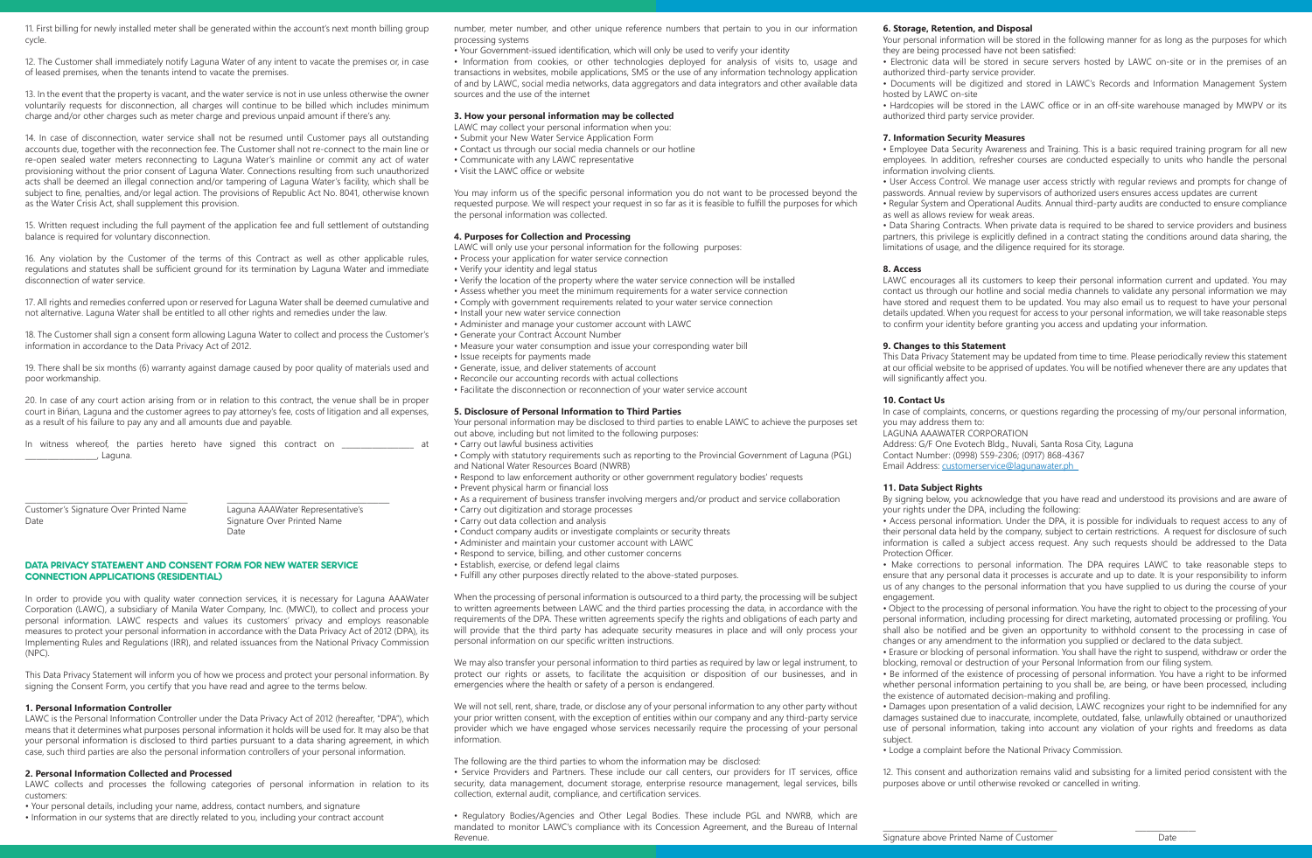11. First billing for newly installed meter shall be generated within the account's next month billing group cycle.

12. The Customer shall immediately notify Laguna Water of any intent to vacate the premises or, in case of leased premises, when the tenants intend to vacate the premises.

13. In the event that the property is vacant, and the water service is not in use unless otherwise the owner voluntarily requests for disconnection, all charges will continue to be billed which includes minimum charge and/or other charges such as meter charge and previous unpaid amount if there's any.

14. In case of disconnection, water service shall not be resumed until Customer pays all outstanding accounts due, together with the reconnection fee. The Customer shall not re-connect to the main line or re-open sealed water meters reconnecting to Laguna Water's mainline or commit any act of water provisioning without the prior consent of Laguna Water. Connections resulting from such unauthorized acts shall be deemed an illegal connection and/or tampering of Laguna Water's facility, which shall be subject to fine, penalties, and/or legal action. The provisions of Republic Act No. 8041, otherwise known as the Water Crisis Act, shall supplement this provision.

15. Written request including the full payment of the application fee and full settlement of outstanding balance is required for voluntary disconnection.

16. Any violation by the Customer of the terms of this Contract as well as other applicable rules, regulations and statutes shall be sufficient ground for its termination by Laguna Water and immediate disconnection of water service.

17. All rights and remedies conferred upon or reserved for Laguna Water shall be deemed cumulative and not alternative. Laguna Water shall be entitled to all other rights and remedies under the law.

18. The Customer shall sign a consent form allowing Laguna Water to collect and process the Customer's information in accordance to the Data Privacy Act of 2012.

19. There shall be six months (6) warranty against damage caused by poor quality of materials used and poor workmanship.

20. In case of any court action arising from or in relation to this contract, the venue shall be in proper court in Bińan, Laguna and the customer agrees to pay attorney's fee, costs of litigation and all expenses, as a result of his failure to pay any and all amounts due and payable.

In witness whereof, the parties hereto have signed this contract on \_\_\_\_\_\_\_\_\_\_\_\_\_ \_\_\_\_\_\_\_\_\_\_\_\_\_\_\_\_\_\_\_, Laguna.

\_\_\_\_\_\_\_\_\_\_\_\_\_\_\_\_\_\_\_\_\_\_\_\_\_\_\_\_\_\_\_\_\_\_\_\_\_\_\_\_\_\_\_ \_\_\_\_\_\_\_\_\_\_\_\_\_\_\_\_\_\_\_\_\_\_\_\_\_\_\_\_\_\_\_\_\_\_\_\_\_\_\_\_\_\_\_

Customer's Signature Over Printed Name Laguna AAAWater Representative's **Date Date Date** 

Signature Over Printed Name<br>Date

### DATA PRIVACY STATEMENT AND CONSENT FORM FOR NEW WATER SERVICE CONNECTION APPLICATIONS (RESIDENTIAL)

In order to provide you with quality water connection services, it is necessary for Laguna AAAWater Corporation (LAWC), a subsidiary of Manila Water Company, Inc. (MWCI), to collect and process your personal information. LAWC respects and values its customers' privacy and employs reasonable measures to protect your personal information in accordance with the Data Privacy Act of 2012 (DPA), its Implementing Rules and Regulations (IRR), and related issuances from the National Privacy Commission (NPC).

This Data Privacy Statement will inform you of how we process and protect your personal information. By signing the Consent Form, you certify that you have read and agree to the terms below.

### **1. Personal Information Controller**

LAWC is the Personal Information Controller under the Data Privacy Act of 2012 (hereafter, "DPA"), which means that it determines what purposes personal information it holds will be used for. It may also be that your personal information is disclosed to third parties pursuant to a data sharing agreement, in which case, such third parties are also the personal information controllers of your personal information.

### **2. Personal Information Collected and Processed**

LAWC collects and processes the following categories of personal information in relation to its customers:

• Your personal details, including your name, address, contact numbers, and signature • Information in our systems that are directly related to you, including your contract account number, meter number, and other unique reference numbers that pertain to you in our information processing systems

• Your Government-issued identification, which will only be used to verify your identity

• Information from cookies, or other technologies deployed for analysis of visits to, usage and transactions in websites, mobile applications, SMS or the use of any information technology application of and by LAWC, social media networks, data aggregators and data integrators and other available data sources and the use of the internet

### **3. How your personal information may be collected**

LAWC may collect your personal information when you:

- Submit your New Water Service Application Form • Contact us through our social media channels or our hotline
- Communicate with any LAWC representative
- Visit the LAWC office or website

You may inform us of the specific personal information you do not want to be processed beyond the requested purpose. We will respect your request in so far as it is feasible to fulfill the purposes for which the personal information was collected.

### **4. Purposes for Collection and Processing**

LAWC will only use your personal information for the following purposes:

- Process your application for water service connection
- Verify your identity and legal status
- Verify the location of the property where the water service connection will be installed
- Assess whether you meet the minimum requirements for a water service connection • Comply with government requirements related to your water service connection
- Install your new water service connection
- Administer and manage your customer account with LAWC
- Generate your Contract Account Number
- Measure your water consumption and issue your corresponding water bill • Issue receipts for payments made
- Generate, issue, and deliver statements of account
- Reconcile our accounting records with actual collections
- Facilitate the disconnection or reconnection of your water service account

### **5. Disclosure of Personal Information to Third Parties**

Your personal information may be disclosed to third parties to enable LAWC to achieve the purposes set out above, including but not limited to the following purposes:

• Carry out lawful business activities

- Comply with statutory requirements such as reporting to the Provincial Government of Laguna (PGL) and National Water Resources Board (NWRB)
- Respond to law enforcement authority or other government regulatory bodies' requests
- Prevent physical harm or financial loss
- As a requirement of business transfer involving mergers and/or product and service collaboration • Carry out digitization and storage processes
- Carry out data collection and analysis
- Conduct company audits or investigate complaints or security threats
- Administer and maintain your customer account with LAWC
- Respond to service, billing, and other customer concerns
- Establish, exercise, or defend legal claims
- Fulfill any other purposes directly related to the above-stated purposes.

When the processing of personal information is outsourced to a third party, the processing will be subject to written agreements between LAWC and the third parties processing the data, in accordance with the requirements of the DPA. These written agreements specify the rights and obligations of each party and will provide that the third party has adequate security measures in place and will only process your personal information on our specific written instructions.

We may also transfer your personal information to third parties as required by law or legal instrument, to protect our rights or assets, to facilitate the acquisition or disposition of our businesses, and in emergencies where the health or safety of a person is endangered.

We will not sell, rent, share, trade, or disclose any of your personal information to any other party without your prior written consent, with the exception of entities within our company and any third-party service provider which we have engaged whose services necessarily require the processing of your personal information.

### The following are the third parties to whom the information may be disclosed:

• Service Providers and Partners. These include our call centers, our providers for IT services, office security, data management, document storage, enterprise resource management, legal services, bills collection, external audit, compliance, and certification services.

• Regulatory Bodies/Agencies and Other Legal Bodies. These include PGL and NWRB, which are mandated to monitor LAWC's compliance with its Concession Agreement, and the Bureau of Internal Revenue.

### **6. Storage, Retention, and Disposal**

Your personal information will be stored in the following manner for as long as the purposes for which they are being processed have not been satisfied:

- Electronic data will be stored in secure servers hosted by LAWC on-site or in the premises of an authorized third-party service provider.
- Documents will be digitized and stored in LAWC's Records and Information Management System hosted by LAWC on-site

• Hardcopies will be stored in the LAWC office or in an off-site warehouse managed by MWPV or its authorized third party service provider.

### **7. Information Security Measures**

• Employee Data Security Awareness and Training. This is a basic required training program for all new employees. In addition, refresher courses are conducted especially to units who handle the personal information involving clients.

- User Access Control. We manage user access strictly with regular reviews and prompts for change of passwords. Annual review by supervisors of authorized users ensures access updates are current
- Regular System and Operational Audits. Annual third-party audits are conducted to ensure compliance as well as allows review for weak areas.

• Data Sharing Contracts. When private data is required to be shared to service providers and business partners, this privilege is explicitly defined in a contract stating the conditions around data sharing, the limitations of usage, and the diligence required for its storage.

### **8. Access**

LAWC encourages all its customers to keep their personal information current and updated. You may contact us through our hotline and social media channels to validate any personal information we may have stored and request them to be updated. You may also email us to request to have your personal details updated. When you request for access to your personal information, we will take reasonable steps to confirm your identity before granting you access and updating your information.

### **9. Changes to this Statement**

This Data Privacy Statement may be updated from time to time. Please periodically review this statement at our official website to be apprised of updates. You will be notified whenever there are any updates that will significantly affect you.

### **10. Contact Us**

In case of complaints, concerns, or questions regarding the processing of my/our personal information, you may address them to: LAGUNA AAAWATER CORPORATION Address: G/F One Evotech Bldg., Nuvali, Santa Rosa City, Laguna Contact Number: (0998) 559-2306; (0917) 868-4367 Email Address: customerservice@lagunawater.ph

### **11. Data Subject Rights**

By signing below, you acknowledge that you have read and understood its provisions and are aware of your rights under the DPA, including the following:

• Access personal information. Under the DPA, it is possible for individuals to request access to any of their personal data held by the company, subject to certain restrictions. A request for disclosure of such information is called a subject access request. Any such requests should be addressed to the Data Protection Officer.

• Make corrections to personal information. The DPA requires LAWC to take reasonable steps to ensure that any personal data it processes is accurate and up to date. It is your responsibility to inform us of any changes to the personal information that you have supplied to us during the course of your engagement.

• Object to the processing of personal information. You have the right to object to the processing of your personal information, including processing for direct marketing, automated processing or profiling. You shall also be notified and be given an opportunity to withhold consent to the processing in case of changes or any amendment to the information you supplied or declared to the data subject.

• Erasure or blocking of personal information. You shall have the right to suspend, withdraw or order the blocking, removal or destruction of your Personal Information from our filing system.

• Be informed of the existence of processing of personal information. You have a right to be informed whether personal information pertaining to you shall be, are being, or have been processed, including the existence of automated decision-making and profiling.

• Damages upon presentation of a valid decision, LAWC recognizes your right to be indemnified for any damages sustained due to inaccurate, incomplete, outdated, false, unlawfully obtained or unauthorized use of personal information, taking into account any violation of your rights and freedoms as data subject.

• Lodge a complaint before the National Privacy Commission.

12. This consent and authorization remains valid and subsisting for a limited period consistent with the purposes above or until otherwise revoked or cancelled in writing.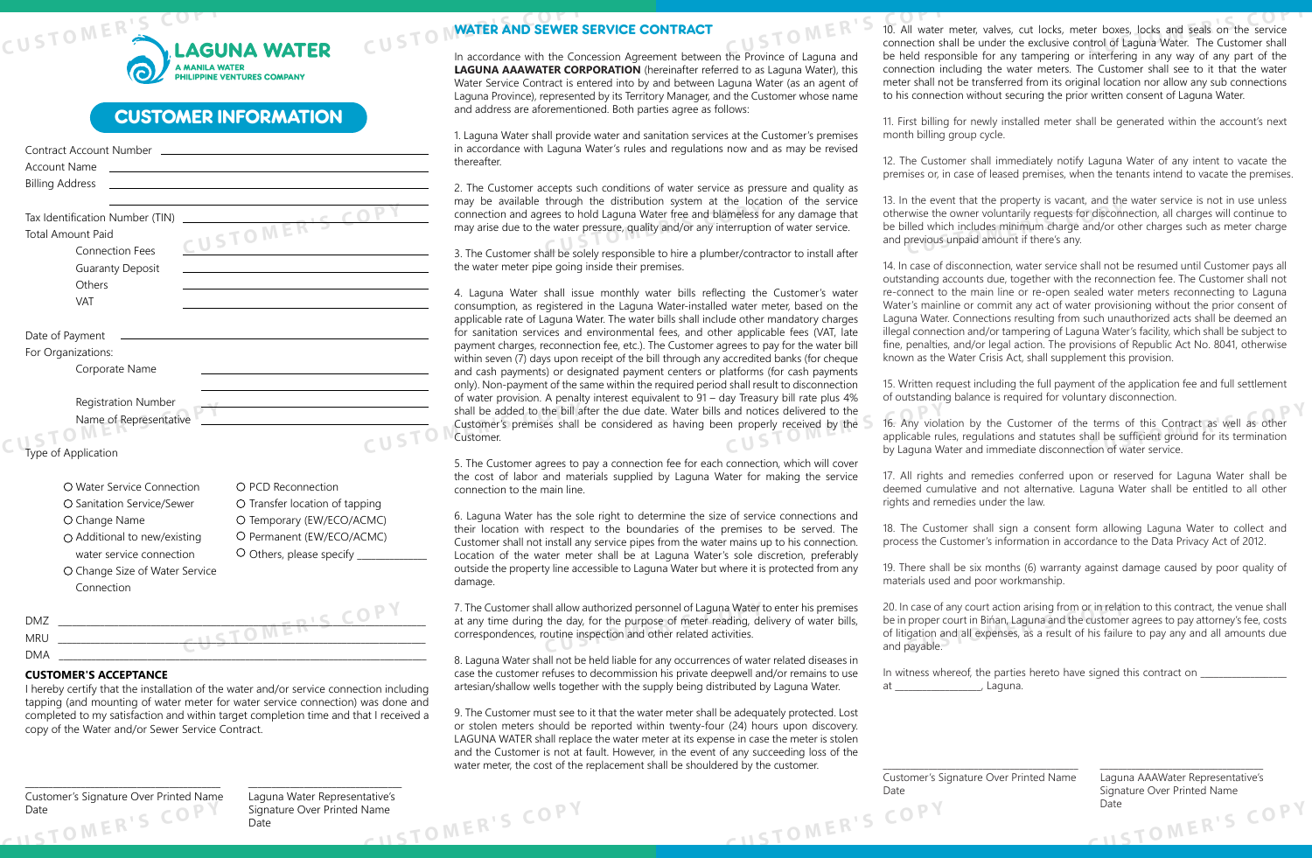

## CUSTOMER INFORMATION

| Account Name                    | the control of the control of the control of the control of the control of the control of the control of the control of the control of the control of the control of the control of the control of the control of the control |
|---------------------------------|-------------------------------------------------------------------------------------------------------------------------------------------------------------------------------------------------------------------------------|
| <b>Billing Address</b>          |                                                                                                                                                                                                                               |
|                                 |                                                                                                                                                                                                                               |
| Tax Identification Number (TIN) |                                                                                                                                                                                                                               |
| <b>Total Amount Paid</b>        | CUSTOMERT                                                                                                                                                                                                                     |
| <b>Connection Fees</b>          |                                                                                                                                                                                                                               |
| <b>Guaranty Deposit</b>         |                                                                                                                                                                                                                               |
| Others                          |                                                                                                                                                                                                                               |
| <b>VAT</b>                      |                                                                                                                                                                                                                               |
|                                 |                                                                                                                                                                                                                               |
| Date of Payment                 |                                                                                                                                                                                                                               |
| For Organizations:              |                                                                                                                                                                                                                               |
| Corporate Name                  |                                                                                                                                                                                                                               |
|                                 |                                                                                                                                                                                                                               |
| <b>Registration Number</b>      |                                                                                                                                                                                                                               |
| Name of Representative          |                                                                                                                                                                                                                               |
|                                 | the contract of the contract of the contract of the contract of                                                                                                                                                               |
|                                 | CUSTO                                                                                                                                                                                                                         |
| Type of Application             |                                                                                                                                                                                                                               |
| O Water Service Connection      | ○ PCD Reconnection                                                                                                                                                                                                            |
|                                 |                                                                                                                                                                                                                               |
| O Sanitation Service/Sewer      | O Transfer location of tapping                                                                                                                                                                                                |
| O Change Name                   | O Temporary (EW/ECO/ACMC)                                                                                                                                                                                                     |
| ○ Additional to new/existing    | O Permanent (EW/ECO/ACMC)                                                                                                                                                                                                     |
| water service connection        | $\circ$ Others, please specify _______                                                                                                                                                                                        |
| O Change Size of Water Service  |                                                                                                                                                                                                                               |
| Connection                      |                                                                                                                                                                                                                               |
|                                 | TOMER'S COP                                                                                                                                                                                                                   |
| <b>DMZ</b>                      |                                                                                                                                                                                                                               |
| <b>MRU</b>                      |                                                                                                                                                                                                                               |
| <b>DMA</b>                      |                                                                                                                                                                                                                               |

## **CUSTOMER'S ACCEPTANCE**

I hereby certify that the installation of the water and/or service connection including tapping (and mounting of water meter for water service connection) was done and completed to my satisfaction and within target completion time and that I received a copy of the Water and/or Sewer Service Contract.

Date COPY Signature Over Printed Name \_\_\_\_\_\_\_\_\_\_\_\_\_\_\_\_\_\_\_\_\_\_\_\_\_\_\_\_\_\_\_\_\_\_\_\_\_\_\_\_\_\_ \_\_\_\_\_\_\_\_\_\_\_\_\_\_\_\_\_\_\_\_\_\_\_\_\_\_\_\_\_\_\_\_\_ Customer's Signature Over Printed Name Laguna Water Representative's  $R \geq 0$ 

Date<br>Date<br> $\overline{P}$  MER'S COPY

# **CUSTOMATER AND SEWER** WATER AND SEWER SERVICE CONTRACT

In accordance with the Concession Agreement between the Province of Laguna and **LAGUNA AAAWATER CORPORATION** (hereinafter referred to as Laguna Water), this Water Service Contract is entered into by and between Laguna Water (as an agent of Laguna Province), represented by its Territory Manager, and the Customer whose name and address are aforementioned. Both parties agree as follows:

1. Laguna Water shall provide water and sanitation services at the Customer's premises accordance with Laguna Water's rules and regulations now and as may be revised ereafter.

ready be available through the distinguished system at the location of the service connection and agrees to hold Laguna Water free and blameless for any damage that may arise due to the water pressure, quality and/or any i The Customer accepts such conditions of water service as pressure and quality as ay be available through the distribution system at the location of the service ay arise due to the water pressure, quality and/or any interruption of water service.

The Customer shall be solely responsible to hire a plumber/contractor to install after the water meter pipe going inside their premises.

**CUSTOP** shall be added to the bill after the due date. Water bills and notices delivered to the<br>Customer's premises shall be considered as having been properly received by the<br>**CUSTOP** customer.<br>by Laguna W Laguna Water shall issue monthly water bills reflecting the Customer's water nsumption, as registered in the Laguna Water-installed water meter, based on the plicable rate of Laguna Water. The water bills shall include other mandatory charges sanitation services and environmental fees, and other applicable fees (VAT, late yment charges, reconnection fee, etc.). The Customer agrees to pay for the water bill hin seven (7) days upon receipt of the bill through any accredited banks (for cheque d cash payments) or designated payment centers or platforms (for cash payments ly). Non-payment of the same within the required period shall result to disconnection water provision. A penalty interest equivalent to 91 – day Treasury bill rate plus 4% stomer's premises shall be considered as having been properly received by the stomer.

> The Customer agrees to pay a connection fee for each connection, which will cover e cost of labor and materials supplied by Laguna Water for making the service nnection to the main line.

> Laguna Water has the sole right to determine the size of service connections and eir location with respect to the boundaries of the premises to be served. The Istomer shall not install any service pipes from the water mains up to his connection. cation of the water meter shall be at Laguna Water's sole discretion, preferably tside the property line accessible to Laguna Water but where it is protected from any mage.

> all allow authorized personnel of Laguna Water the day, for the purpose of meter reading, depotine inspection and other related activities. The Customer shall allow authorized personnel of Laguna Water to enter his premises at any time during the day, for the purpose of meter reading, delivery of water bills, rrespondences, routine inspection and other related activities.

Laguna Water shall not be held liable for any occurrences of water related diseases in case the customer refuses to decommission his private deepwell and/or remains to use artesian/shallow wells together with the supply being distributed by Laguna Water.

9. The Customer must see to it that the water meter shall be adequately protected. Lost or stolen meters should be reported within twenty-four (24) hours upon discovery. LAGUNA WATER shall replace the water meter at its expense in case the meter is stolen and the Customer is not at fault. However, in the event of any succeeding loss of the water meter, the cost of the replacement shall be shouldered by the customer.

**CU**<br>STOMER'S **10. All water**<br>connection st External boxes, locks and seals on the service<br> **CUPS**<br> **CUPS CUPS CUPS CUPS CUPS CUPS CUPS CUPS CUPS CUPS CUPS CUPS CUPS CUPS CUPS CUPS CUPS CUPS CUPS CUPS CUPS CUPS** 10. All water meter, valves, cut locks, meter boxes, locks and seals on the service connection shall be under the exclusive control of Laguna Water. The Customer shall be held responsible for any tampering or interfering in any way of any part of the connection including the water meters. The Customer shall see to it that the water meter shall not be transferred from its original location nor allow any sub connections to his connection without securing the prior written consent of Laguna Water.

> 11. First billing for newly installed meter shall be generated within the account's next month billing group cycle.

> 12. The Customer shall immediately notify Laguna Water of any intent to vacate the premises or, in case of leased premises, when the tenants intend to vacate the premises.

In the twise the owner voluntarily requests for discontractive wise the owner voluntarily requests for discontractive lied which includes minimum charge and/or of previous unpaid amount if there's any. 13. In the event that the property is vacant, and the water service is not in use unless otherwise the owner voluntarily requests for disconnection, all charges will continue to be billed which includes minimum charge and/or other charges such as meter charge and previous unpaid amount if there's any.

14. In case of disconnection, water service shall not be resumed until Customer pays all outstanding accounts due, together with the reconnection fee. The Customer shall not re-connect to the main line or re-open sealed water meters reconnecting to Laguna Water's mainline or commit any act of water provisioning without the prior consent of Laguna Water. Connections resulting from such unauthorized acts shall be deemed an illegal connection and/or tampering of Laguna Water's facility, which shall be subject to fine, penalties, and/or legal action. The provisions of Republic Act No. 8041, otherwise known as the Water Crisis Act, shall supplement this provision.

15. Written request including the full payment of the application fee and full settlement of outstanding balance is required for voluntary disconnection.

Externs of this Contract as well as other<br>Intervall be sufficient ground for its termination<br>Ition of water service. 16. Any violation by the Customer of the terms of this Contract as well as other applicable rules, regulations and statutes shall be sufficient ground for its termination by Laguna Water and immediate disconnection of water service.

17. All rights and remedies conferred upon or reserved for Laguna Water shall be deemed cumulative and not alternative. Laguna Water shall be entitled to all other rights and remedies under the law.

18. The Customer shall sign a consent form allowing Laguna Water to collect and process the Customer's information in accordance to the Data Privacy Act of 2012.

19. There shall be six months (6) warranty against damage caused by poor quality of materials used and poor workmanship.

If case of any court action arising from or in relat<br>proper court in Bińan, Laguna and the custome<br>gation and all expenses, as a result of his failur<br>payable. 20. In case of any court action arising from or in relation to this contract, the venue shall be in proper court in Bińan, Laguna and the customer agrees to pay attorney's fee, costs of litigation and all expenses, as a result of his failure to pay any and all amounts due and payable.

\_\_\_\_\_\_\_\_\_\_\_\_\_\_\_\_\_\_\_\_\_\_\_\_\_\_\_\_\_\_\_\_\_\_\_\_\_\_\_\_\_\_\_ \_\_\_\_\_\_\_\_\_\_\_\_\_\_\_\_\_\_\_\_\_\_\_\_\_\_\_\_\_\_\_\_\_\_\_\_

In witness whereof, the parties hereto have signed this contract on at  $\qquad \qquad$  , Laguna.

**CUSTOMER'S COPY** Customer's Signature Over Printed Name Laguna AAAWater Representative's Date **Signature Over Printed Name** 

**CUSTOMER'S COPY**